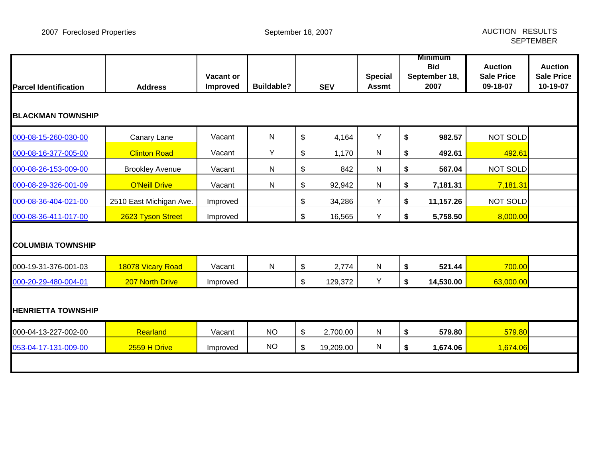| <b>Parcel Identification</b> | <b>Address</b>          | Vacant or<br>Improved | <b>Buildable?</b> |                           | <b>SEV</b> | <b>Special</b><br><b>Assmt</b> | Minimum<br><b>Bid</b><br>September 18,<br>2007 | <b>Auction</b><br><b>Sale Price</b><br>09-18-07 | <b>Auction</b><br><b>Sale Price</b><br>10-19-07 |
|------------------------------|-------------------------|-----------------------|-------------------|---------------------------|------------|--------------------------------|------------------------------------------------|-------------------------------------------------|-------------------------------------------------|
| <b>BLACKMAN TOWNSHIP</b>     |                         |                       |                   |                           |            |                                |                                                |                                                 |                                                 |
| 000-08-15-260-030-00         | Canary Lane             | Vacant                | ${\sf N}$         | $\boldsymbol{\mathsf{S}}$ | 4,164      | Y                              | \$<br>982.57                                   | NOT SOLD                                        |                                                 |
| 000-08-16-377-005-00         | <b>Clinton Road</b>     | Vacant                | Y                 | \$                        | 1,170      | $\mathsf{N}$                   | \$<br>492.61                                   | 492.61                                          |                                                 |
| 000-08-26-153-009-00         | <b>Brookley Avenue</b>  | Vacant                | ${\sf N}$         | \$                        | 842        | ${\sf N}$                      | \$<br>567.04                                   | NOT SOLD                                        |                                                 |
| 000-08-29-326-001-09         | <b>O'Neill Drive</b>    | Vacant                | ${\sf N}$         | \$                        | 92,942     | ${\sf N}$                      | \$<br>7,181.31                                 | 7,181.31                                        |                                                 |
| 000-08-36-404-021-00         | 2510 East Michigan Ave. | Improved              |                   | \$                        | 34,286     | Y                              | \$<br>11,157.26                                | NOT SOLD                                        |                                                 |
| 000-08-36-411-017-00         | 2623 Tyson Street       | Improved              |                   | \$                        | 16,565     | Y                              | \$<br>5,758.50                                 | 8,000.00                                        |                                                 |
| <b>COLUMBIA TOWNSHIP</b>     |                         |                       |                   |                           |            |                                |                                                |                                                 |                                                 |
| 000-19-31-376-001-03         | 18078 Vicary Road       | Vacant                | $\mathsf{N}$      | $\boldsymbol{\mathsf{S}}$ | 2,774      | ${\sf N}$                      | \$<br>521.44                                   | 700.00                                          |                                                 |
| 000-20-29-480-004-01         | <b>207 North Drive</b>  | Improved              |                   | \$                        | 129,372    | Y                              | \$<br>14,530.00                                | 63,000.00                                       |                                                 |
| <b>HENRIETTA TOWNSHIP</b>    |                         |                       |                   |                           |            |                                |                                                |                                                 |                                                 |
| 000-04-13-227-002-00         | Rearland                | Vacant                | <b>NO</b>         | \$                        | 2,700.00   | ${\sf N}$                      | \$<br>579.80                                   | 579.80                                          |                                                 |
| 053-04-17-131-009-00         | 2559 H Drive            | Improved              | <b>NO</b>         | $\boldsymbol{\mathsf{S}}$ | 19,209.00  | ${\sf N}$                      | \$<br>1,674.06                                 | 1,674.06                                        |                                                 |
|                              |                         |                       |                   |                           |            |                                |                                                |                                                 |                                                 |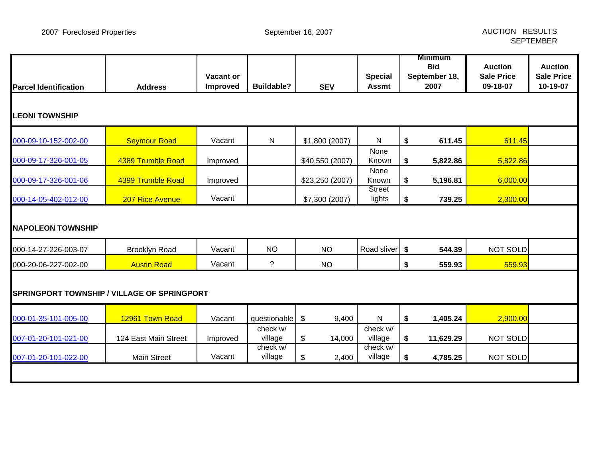| <b>Parcel Identification</b>                | <b>Address</b>       | <b>Vacant or</b><br>Improved | <b>Buildable?</b>   | <b>SEV</b>      | <b>Special</b><br><b>Assmt</b> | <b>Minimum</b><br><b>Bid</b><br>September 18,<br>2007 | <b>Auction</b><br><b>Sale Price</b><br>09-18-07 | <b>Auction</b><br><b>Sale Price</b><br>10-19-07 |
|---------------------------------------------|----------------------|------------------------------|---------------------|-----------------|--------------------------------|-------------------------------------------------------|-------------------------------------------------|-------------------------------------------------|
| <b>LEONI TOWNSHIP</b>                       |                      |                              |                     |                 |                                |                                                       |                                                 |                                                 |
| 000-09-10-152-002-00                        | <b>Seymour Road</b>  | Vacant                       | ${\sf N}$           | \$1,800 (2007)  | N                              | \$<br>611.45                                          | 611.45                                          |                                                 |
| 000-09-17-326-001-05                        | 4389 Trumble Road    | Improved                     |                     | \$40,550 (2007) | None<br>Known                  | \$<br>5,822.86                                        | 5,822.86                                        |                                                 |
| 000-09-17-326-001-06                        | 4399 Trumble Road    | Improved                     |                     | \$23,250 (2007) | None<br>Known                  | \$<br>5,196.81                                        | 6,000.00                                        |                                                 |
| 000-14-05-402-012-00                        | 207 Rice Avenue      | Vacant                       |                     | \$7,300 (2007)  | <b>Street</b><br>lights        | \$<br>739.25                                          | 2,300.00                                        |                                                 |
| <b>NAPOLEON TOWNSHIP</b>                    |                      |                              |                     |                 |                                |                                                       |                                                 |                                                 |
| 000-14-27-226-003-07                        | <b>Brooklyn Road</b> | Vacant                       | <b>NO</b>           | <b>NO</b>       | Road sliver                    | \$<br>544.39                                          | NOT SOLD                                        |                                                 |
| 000-20-06-227-002-00                        | <b>Austin Road</b>   | Vacant                       | ?                   | <b>NO</b>       |                                | \$<br>559.93                                          | 559.93                                          |                                                 |
| SPRINGPORT TOWNSHIP / VILLAGE OF SPRINGPORT |                      |                              |                     |                 |                                |                                                       |                                                 |                                                 |
| 000-01-35-101-005-00                        | 12961 Town Road      | Vacant                       | questionable        | 9,400<br>\$     | N                              | \$<br>1,405.24                                        | 2,900.00                                        |                                                 |
| 007-01-20-101-021-00                        | 124 East Main Street | Improved                     | check w/<br>village | \$<br>14,000    | check w/<br>village            | \$<br>11,629.29                                       | NOT SOLD                                        |                                                 |
| 007-01-20-101-022-00                        | <b>Main Street</b>   | Vacant                       | check w/<br>village | \$<br>2,400     | check w/<br>village            | \$<br>4,785.25                                        | NOT SOLD                                        |                                                 |
|                                             |                      |                              |                     |                 |                                |                                                       |                                                 |                                                 |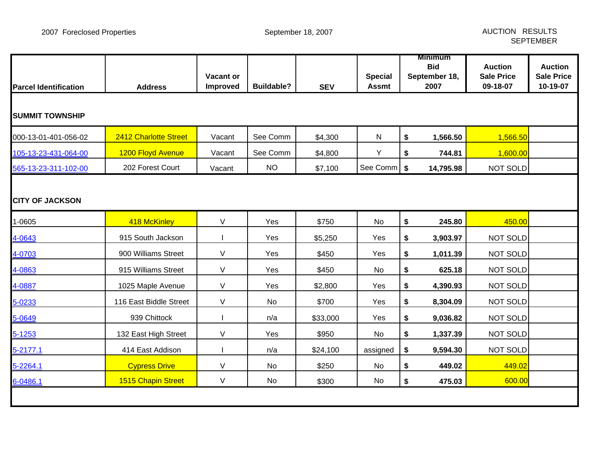| <b>Parcel Identification</b> | <b>Address</b>         | Vacant or<br>Improved | <b>Buildable?</b> | <b>SEV</b> | <b>Special</b><br><b>Assmt</b> |    | <b>Minimum</b><br><b>Bid</b><br>September 18,<br>2007 | <b>Auction</b><br><b>Sale Price</b><br>09-18-07 | <b>Auction</b><br><b>Sale Price</b><br>10-19-07 |  |  |
|------------------------------|------------------------|-----------------------|-------------------|------------|--------------------------------|----|-------------------------------------------------------|-------------------------------------------------|-------------------------------------------------|--|--|
| <b>SUMMIT TOWNSHIP</b>       |                        |                       |                   |            |                                |    |                                                       |                                                 |                                                 |  |  |
| 000-13-01-401-056-02         | 2412 Charlotte Street  | Vacant                | See Comm          | \$4,300    | $\mathsf{N}$                   | \$ | 1,566.50                                              | 1,566.50                                        |                                                 |  |  |
| 105-13-23-431-064-00         | 1200 Floyd Avenue      | Vacant                | See Comm          | \$4,800    | Y                              | \$ | 744.81                                                | 1,600.00                                        |                                                 |  |  |
| 565-13-23-311-102-00         | 202 Forest Court       | Vacant                | <b>NO</b>         | \$7,100    | See Comm   \$                  |    | 14,795.98                                             | <b>NOT SOLD</b>                                 |                                                 |  |  |
| <b>CITY OF JACKSON</b>       |                        |                       |                   |            |                                |    |                                                       |                                                 |                                                 |  |  |
| 1-0605                       | 418 McKinley           | V                     | Yes               | \$750      | No                             | \$ | 245.80                                                | 450.00                                          |                                                 |  |  |
| 4-0643                       | 915 South Jackson      |                       | Yes               | \$5,250    | Yes                            | \$ | 3,903.97                                              | <b>NOT SOLD</b>                                 |                                                 |  |  |
| 4-0703                       | 900 Williams Street    | V                     | Yes               | \$450      | Yes                            | \$ | 1,011.39                                              | <b>NOT SOLD</b>                                 |                                                 |  |  |
| 4-0863                       | 915 Williams Street    | V                     | Yes               | \$450      | No                             | \$ | 625.18                                                | <b>NOT SOLD</b>                                 |                                                 |  |  |
| 4-0887                       | 1025 Maple Avenue      | V                     | Yes               | \$2,800    | Yes                            | \$ | 4,390.93                                              | <b>NOT SOLD</b>                                 |                                                 |  |  |
| 5-0233                       | 116 East Biddle Street | V                     | No                | \$700      | Yes                            | \$ | 8,304.09                                              | <b>NOT SOLD</b>                                 |                                                 |  |  |
| 5-0649                       | 939 Chittock           |                       | n/a               | \$33,000   | Yes                            | \$ | 9,036.82                                              | <b>NOT SOLD</b>                                 |                                                 |  |  |
| 5-1253                       | 132 East High Street   | V                     | Yes               | \$950      | No                             | \$ | 1,337.39                                              | <b>NOT SOLD</b>                                 |                                                 |  |  |
| 5-2177.1                     | 414 East Addison       |                       | n/a               | \$24,100   | assigned                       | \$ | 9,594.30                                              | <b>NOT SOLD</b>                                 |                                                 |  |  |
| 5-2264.1                     | <b>Cypress Drive</b>   | V                     | No                | \$250      | No                             | \$ | 449.02                                                | 449.02                                          |                                                 |  |  |
| 6-0486.1                     | 1515 Chapin Street     | $\mathsf{V}$          | No                | \$300      | No                             | \$ | 475.03                                                | 600.00                                          |                                                 |  |  |
|                              |                        |                       |                   |            |                                |    |                                                       |                                                 |                                                 |  |  |